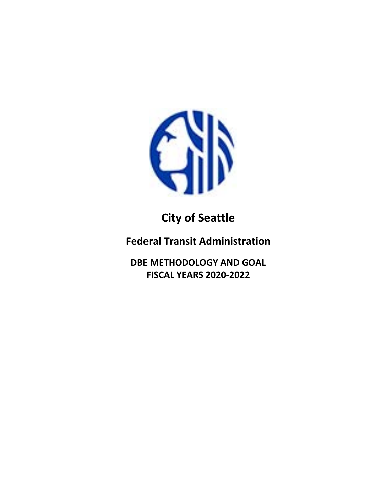

# **City of Seattle**

**Federal Transit Administration**

**DBE METHODOLOGY AND GOAL FISCAL YEARS 2020-2022**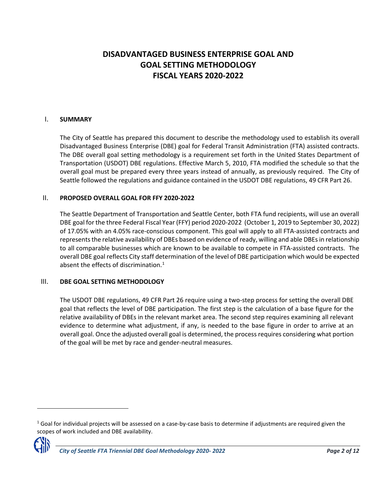# **DISADVANTAGED BUSINESS ENTERPRISE GOAL AND GOAL SETTING METHODOLOGY FISCAL YEARS 2020-2022**

#### I. **SUMMARY**

The City of Seattle has prepared this document to describe the methodology used to establish its overall Disadvantaged Business Enterprise (DBE) goal for Federal Transit Administration (FTA) assisted contracts. The DBE overall goal setting methodology is a requirement set forth in the United States Department of Transportation (USDOT) DBE regulations. Effective March 5, 2010, FTA modified the schedule so that the overall goal must be prepared every three years instead of annually, as previously required. The City of Seattle followed the regulations and guidance contained in the USDOT DBE regulations, 49 CFR Part 26.

#### II. **PROPOSED OVERALL GOAL FOR FFY 2020-2022**

The Seattle Department of Transportation and Seattle Center, both FTA fund recipients, will use an overall DBE goal for the three Federal Fiscal Year (FFY) period 2020-2022 (October 1, 2019 to September 30, 2022) of 17.05% with an 4.05% race-conscious component. This goal will apply to all FTA-assisted contracts and represents the relative availability of DBEs based on evidence of ready, willing and able DBEs in relationship to all comparable businesses which are known to be available to compete in FTA-assisted contracts. The overall DBE goal reflects City staff determination of the level of DBE participation which would be expected absent the effects of discrimination.<sup>[1](#page-1-0)</sup>

#### III. **DBE GOAL SETTING METHODOLOGY**

The USDOT DBE regulations, 49 CFR Part 26 require using a two-step process for setting the overall DBE goal that reflects the level of DBE participation. The first step is the calculation of a base figure for the relative availability of DBEs in the relevant market area. The second step requires examining all relevant evidence to determine what adjustment, if any, is needed to the base figure in order to arrive at an overall goal. Once the adjusted overall goal is determined, the process requires considering what portion of the goal will be met by race and gender-neutral measures.

<span id="page-1-0"></span> $1$  Goal for individual projects will be assessed on a case-by-case basis to determine if adjustments are required given the scopes of work included and DBE availability.



l

*City of Seattle FTA Triennial DBE Goal Methodology 2020- 2022 Page 2 of 12*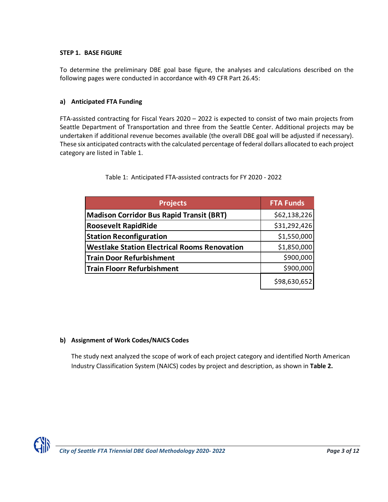#### **STEP 1. BASE FIGURE**

To determine the preliminary DBE goal base figure, the analyses and calculations described on the following pages were conducted in accordance with 49 CFR Part 26.45:

#### **a) Anticipated FTA Funding**

FTA-assisted contracting for Fiscal Years 2020 – 2022 is expected to consist of two main projects from Seattle Department of Transportation and three from the Seattle Center. Additional projects may be undertaken if additional revenue becomes available (the overall DBE goal will be adjusted if necessary). These six anticipated contracts with the calculated percentage of federal dollars allocated to each project category are listed in Table 1.

| <b>Projects</b>                                     | <b>FTA Funds</b> |
|-----------------------------------------------------|------------------|
| <b>Madison Corridor Bus Rapid Transit (BRT)</b>     | \$62,138,226     |
| <b>Roosevelt RapidRide</b>                          | \$31,292,426     |
| <b>Station Reconfiguration</b>                      | \$1,550,000      |
| <b>Westlake Station Electrical Rooms Renovation</b> | \$1,850,000      |
| <b>Train Door Refurbishment</b>                     | \$900,000        |
| <b>Train Floorr Refurbishment</b>                   | \$900,000        |
|                                                     | \$98,630,652     |

Table 1: Anticipated FTA-assisted contracts for FY 2020 - 2022

# **b) Assignment of Work Codes/NAICS Codes**

The study next analyzed the scope of work of each project category and identified North American Industry Classification System (NAICS) codes by project and description, as shown in **Table 2.**

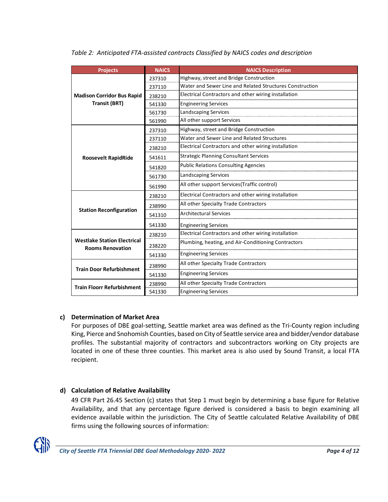| <b>Projects</b>                                               | <b>NAICS</b> | <b>NAICS Description</b>                                 |
|---------------------------------------------------------------|--------------|----------------------------------------------------------|
|                                                               | 237310       | Highway, street and Bridge Construction                  |
|                                                               | 237110       | Water and Sewer Line and Related Structures Construction |
| <b>Madison Corridor Bus Rapid</b>                             | 238210       | Electrical Contractors and other wiring installation     |
| <b>Transit (BRT)</b>                                          | 541330       | <b>Engineering Services</b>                              |
|                                                               | 561730       | Landscaping Services                                     |
|                                                               | 561990       | All other support Services                               |
|                                                               | 237310       | Highway, street and Bridge Construction                  |
|                                                               | 237110       | Water and Sewer Line and Related Structures              |
|                                                               | 238210       | Electrical Contractors and other wiring installation     |
| <b>Roosevelt RapidRide</b>                                    | 541611       | <b>Strategic Planning Consultant Services</b>            |
|                                                               | 541820       | <b>Public Relations Consulting Agencies</b>              |
|                                                               | 561730       | Landscaping Services                                     |
|                                                               | 561990       | All other support Services(Traffic control)              |
|                                                               | 238210       | Electrical Contractors and other wiring installation     |
|                                                               | 238990       | All other Specialty Trade Contractors                    |
| <b>Station Reconfiguration</b>                                | 541310       | <b>Architectural Services</b>                            |
|                                                               | 541330       | <b>Engineering Services</b>                              |
|                                                               | 238210       | Electrical Contractors and other wiring installation     |
| <b>Westlake Station Electrical</b><br><b>Rooms Renovation</b> | 238220       | Plumbing, heating, and Air-Conditioning Contractors      |
|                                                               | 541330       | <b>Engineering Services</b>                              |
|                                                               | 238990       | All other Specialty Trade Contractors                    |
| <b>Train Door Refurbishment</b>                               | 541330       | <b>Engineering Services</b>                              |
|                                                               | 238990       | All other Specialty Trade Contractors                    |
| <b>Train Floorr Refurbishment</b>                             | 541330       | <b>Engineering Services</b>                              |

*Table 2: Anticipated FTA-assisted contracts Classified by NAICS codes and description* 

# **c) Determination of Market Area**

For purposes of DBE goal-setting, Seattle market area was defined as the Tri-County region including King, Pierce and Snohomish Counties, based on City of Seattle service area and bidder/vendor database profiles. The substantial majority of contractors and subcontractors working on City projects are located in one of these three counties. This market area is also used by Sound Transit, a local FTA recipient.

# **d) Calculation of Relative Availability**

49 CFR Part 26.45 Section (c) states that Step 1 must begin by determining a base figure for Relative Availability, and that any percentage figure derived is considered a basis to begin examining all evidence available within the jurisdiction. The City of Seattle calculated Relative Availability of DBE firms using the following sources of information:

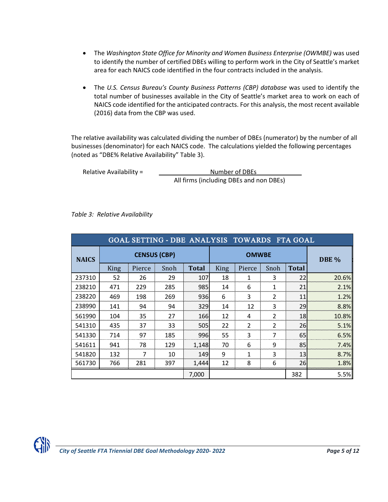- The *Washington State Office for Minority and Women Business Enterprise (OWMBE)* was used to identify the number of certified DBEs willing to perform work in the City of Seattle's market area for each NAICS code identified in the four contracts included in the analysis.
- The *U.S. Census Bureau's County Business Patterns (CBP) database* was used to identify the total number of businesses available in the City of Seattle's market area to work on each of NAICS code identified for the anticipated contracts. For this analysis, the most recent available (2016) data from the CBP was used.

The relative availability was calculated dividing the number of DBEs (numerator) by the number of all businesses (denominator) for each NAICS code. The calculations yielded the following percentages (noted as "DBE% Relative Availability" Table 3).

Relative Availability = Number of DBEs All firms (including DBEs and non DBEs)

*Table 3: Relative Availability*

|              |             |                     | GOAL SETTING - DBE ANALYSIS TOWARDS FTA GOAL |              |      |              |                |              |       |
|--------------|-------------|---------------------|----------------------------------------------|--------------|------|--------------|----------------|--------------|-------|
| <b>NAICS</b> |             | <b>CENSUS (CBP)</b> |                                              |              |      | <b>OMWBE</b> |                |              | DBE % |
|              | <b>King</b> | Pierce              | Snoh                                         | <b>Total</b> | King | Pierce       | Snoh           | <b>Total</b> |       |
| 237310       | 52          | 26                  | 29                                           | 107          | 18   | 1            | 3              | 22           | 20.6% |
| 238210       | 471         | 229                 | 285                                          | 985          | 14   | 6            | 1              | 21           | 2.1%  |
| 238220       | 469         | 198                 | 269                                          | 936          | 6    | 3            | $\overline{2}$ | 11           | 1.2%  |
| 238990       | 141         | 94                  | 94                                           | 329          | 14   | 12           | 3              | 29           | 8.8%  |
| 561990       | 104         | 35                  | 27                                           | 166          | 12   | 4            | $\overline{2}$ | 18           | 10.8% |
| 541310       | 435         | 37                  | 33                                           | 505          | 22   | 2            | $\overline{2}$ | 26           | 5.1%  |
| 541330       | 714         | 97                  | 185                                          | 996          | 55   | 3            | 7              | 65           | 6.5%  |
| 541611       | 941         | 78                  | 129                                          | 1,148        | 70   | 6            | 9              | 85           | 7.4%  |
| 541820       | 132         | 7                   | 10                                           | 149          | 9    | 1            | 3              | 13           | 8.7%  |
| 561730       | 766         | 281                 | 397                                          | 1.444        | 12   | 8            | 6              | 26           | 1.8%  |
|              |             |                     |                                              | 7,000        |      |              |                | 382          | 5.5%  |

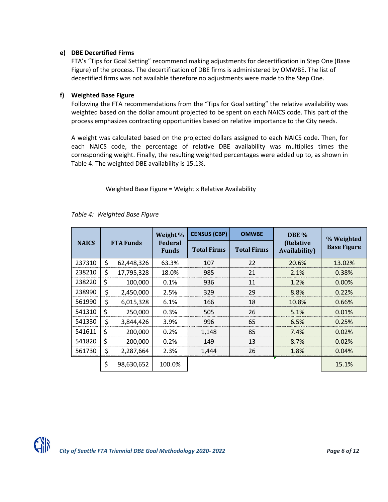#### **e) DBE Decertified Firms**

FTA's "Tips for Goal Setting" recommend making adjustments for decertification in Step One (Base Figure) of the process. The decertification of DBE firms is administered by OMWBE. The list of decertified firms was not available therefore no adjustments were made to the Step One.

#### **f) Weighted Base Figure**

Following the FTA recommendations from the "Tips for Goal setting" the relative availability was weighted based on the dollar amount projected to be spent on each NAICS code. This part of the process emphasizes contracting opportunities based on relative importance to the City needs.

A weight was calculated based on the projected dollars assigned to each NAICS code. Then, for each NAICS code, the percentage of relative DBE availability was multiplies times the corresponding weight. Finally, the resulting weighted percentages were added up to, as shown in Table 4. The weighted DBE availability is 15.1%.

Weighted Base Figure = Weight x Relative Availability

|              |                  | Weight %                       | <b>CENSUS (CBP)</b> | <b>OMWBE</b>       | DBE %                              | % Weighted         |
|--------------|------------------|--------------------------------|---------------------|--------------------|------------------------------------|--------------------|
| <b>NAICS</b> | <b>FTA Funds</b> | <b>Federal</b><br><b>Funds</b> | <b>Total Firms</b>  | <b>Total Firms</b> | (Relative<br><b>Availability</b> ) | <b>Base Figure</b> |
| 237310       | \$<br>62,448,326 | 63.3%                          | 107                 | 22                 | 20.6%                              | 13.02%             |
| 238210       | \$<br>17,795,328 | 18.0%                          | 985                 | 21                 | 2.1%                               | 0.38%              |
| 238220       | \$<br>100,000    | 0.1%                           | 936                 | 11                 | 1.2%                               | 0.00%              |
| 238990       | \$<br>2,450,000  | 2.5%                           | 329                 | 29                 | 8.8%                               | 0.22%              |
| 561990       | \$<br>6,015,328  | 6.1%                           | 166                 | 18                 | 10.8%                              | 0.66%              |
| 541310       | \$<br>250,000    | 0.3%                           | 505                 | 26                 | 5.1%                               | 0.01%              |
| 541330       | \$<br>3,844,426  | 3.9%                           | 996                 | 65                 | 6.5%                               | 0.25%              |
| 541611       | \$<br>200,000    | 0.2%                           | 1,148               | 85                 | 7.4%                               | 0.02%              |
| 541820       | \$<br>200,000    | 0.2%                           | 149                 | 13                 | 8.7%                               | 0.02%              |
| 561730       | \$<br>2,287,664  | 2.3%                           | 1,444               | 26                 | 1.8%                               | 0.04%              |
|              | \$<br>98,630,652 | 100.0%                         |                     |                    |                                    | 15.1%              |

#### *Table 4: Weighted Base Figure*

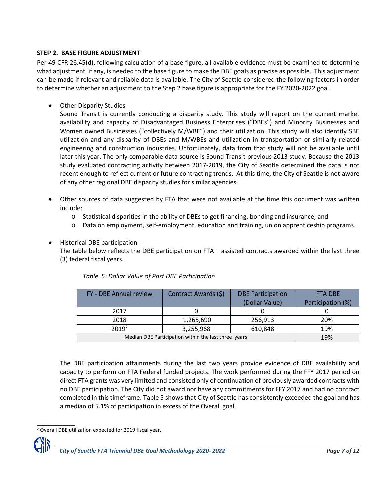#### **STEP 2. BASE FIGURE ADJUSTMENT**

Per 49 CFR 26.45(d), following calculation of a base figure, all available evidence must be examined to determine what adjustment, if any, is needed to the base figure to make the DBE goals as precise as possible. This adjustment can be made if relevant and reliable data is available. The City of Seattle considered the following factors in order to determine whether an adjustment to the Step 2 base figure is appropriate for the FY 2020-2022 goal.

• Other Disparity Studies

Sound Transit is currently conducting a disparity study. This study will report on the current market availability and capacity of Disadvantaged Business Enterprises ("DBEs") and Minority Businesses and Women owned Businesses ("collectively M/WBE") and their utilization. This study will also identify SBE utilization and any disparity of DBEs and M/WBEs and utilization in transportation or similarly related engineering and construction industries. Unfortunately, data from that study will not be available until later this year. The only comparable data source is Sound Transit previous 2013 study. Because the 2013 study evaluated contracting activity between 2017-2019, the City of Seattle determined the data is not recent enough to reflect current or future contracting trends. At this time, the City of Seattle is not aware of any other regional DBE disparity studies for similar agencies.

- Other sources of data suggested by FTA that were not available at the time this document was written include:
	- o Statistical disparities in the ability of DBEs to get financing, bonding and insurance; and
	- o Data on employment, self-employment, education and training, union apprenticeship programs.

## • Historical DBE participation

The table below reflects the DBE participation on FTA – assisted contracts awarded within the last three (3) federal fiscal years.

| FY - DBE Annual review | Contract Awards (\$)                                 | <b>DBE Participation</b><br>(Dollar Value) | <b>FTA DBE</b><br>Participation (%) |
|------------------------|------------------------------------------------------|--------------------------------------------|-------------------------------------|
| 2017                   |                                                      |                                            |                                     |
| 2018                   | 1,265,690                                            | 256,913                                    | 20%                                 |
| $2019^2$               | 3,255,968                                            | 610,848                                    | 19%                                 |
|                        | Median DBE Participation within the last three years |                                            | 19%                                 |

*Table 5: Dollar Value of Past DBE Participation*

The DBE participation attainments during the last two years provide evidence of DBE availability and capacity to perform on FTA Federal funded projects. The work performed during the FFY 2017 period on direct FTA grants was very limited and consisted only of continuation of previously awarded contracts with no DBE participation. The City did not award nor have any commitments for FFY 2017 and had no contract completed in this timeframe. Table 5 shows that City of Seattle has consistently exceeded the goal and has a median of 5.1% of participation in excess of the Overall goal.

\_\_\_\_\_\_\_\_\_\_\_\_ <sup>2</sup> Overall DBE utilization expected for 2019 fiscal year.

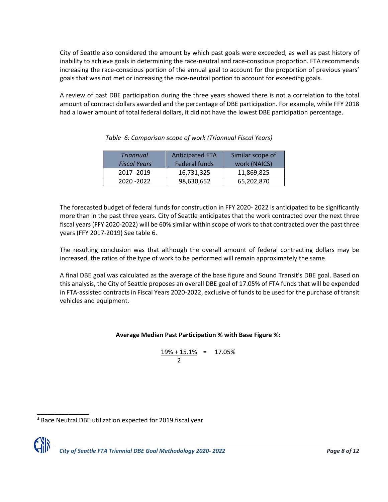City of Seattle also considered the amount by which past goals were exceeded, as well as past history of inability to achieve goals in determining the race-neutral and race-conscious proportion. FTA recommends increasing the race-conscious portion of the annual goal to account for the proportion of previous years' goals that was not met or increasing the race-neutral portion to account for exceeding goals.

A review of past DBE participation during the three years showed there is not a correlation to the total amount of contract dollars awarded and the percentage of DBE participation. For example, while FFY 2018 had a lower amount of total federal dollars, it did not have the lowest DBE participation percentage.

| <b>Triannual</b><br><b>Fiscal Years</b> | <b>Anticipated FTA</b><br><b>Federal funds</b> | Similar scope of<br>work (NAICS) |
|-----------------------------------------|------------------------------------------------|----------------------------------|
| 2017 - 2019                             | 16,731,325                                     | 11,869,825                       |
| 2020 - 2022                             | 98,630,652                                     | 65,202,870                       |

*Table 6: Comparison scope of work (Triannual Fiscal Years)*

The forecasted budget of federal funds for construction in FFY 2020- 2022 is anticipated to be significantly more than in the past three years. City of Seattle anticipates that the work contracted over the next three fiscal years (FFY 2020-2022) will be 60% similar within scope of work to that contracted over the past three years (FFY 2017-2019) See table 6.

The resulting conclusion was that although the overall amount of federal contracting dollars may be increased, the ratios of the type of work to be performed will remain approximately the same.

A final DBE goal was calculated as the average of the base figure and Sound Transit's DBE goal. Based on this analysis, the City of Seattle proposes an overall DBE goal of 17.05% of FTA funds that will be expended in FTA-assisted contracts in Fiscal Years 2020-2022, exclusive of funds to be used for the purchase of transit vehicles and equipment.

## **Average Median Past Participation % with Base Figure %:**

$$
\frac{19\% + 15.1\%}{2} = 17.05\%
$$

**\_\_\_\_\_\_\_\_\_\_\_\_\_\_\_** <sup>3</sup> Race Neutral DBE utilization expected for 2019 fiscal year

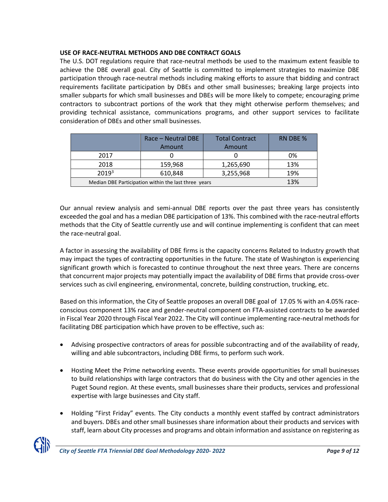## **USE OF RACE-NEUTRAL METHODS AND DBE CONTRACT GOALS**

The U.S. DOT regulations require that race-neutral methods be used to the maximum extent feasible to achieve the DBE overall goal. City of Seattle is committed to implement strategies to maximize DBE participation through race-neutral methods including making efforts to assure that bidding and contract requirements facilitate participation by DBEs and other small businesses; breaking large projects into smaller subparts for which small businesses and DBEs will be more likely to compete; encouraging prime contractors to subcontract portions of the work that they might otherwise perform themselves; and providing technical assistance, communications programs, and other support services to facilitate consideration of DBEs and other small businesses.

|                   | Race - Neutral DBE<br>Amount                         | <b>Total Contract</b><br>Amount | RN DBE % |
|-------------------|------------------------------------------------------|---------------------------------|----------|
| 2017              |                                                      |                                 | 0%       |
| 2018              | 159,968                                              | 1,265,690                       | 13%      |
| 2019 <sup>3</sup> | 610,848                                              | 3,255,968                       | 19%      |
|                   | Median DBE Participation within the last three years |                                 | 13%      |

Our annual review analysis and semi-annual DBE reports over the past three years has consistently exceeded the goal and has a median DBE participation of 13%. This combined with the race-neutral efforts methods that the City of Seattle currently use and will continue implementing is confident that can meet the race-neutral goal.

A factor in assessing the availability of DBE firms is the capacity concerns Related to Industry growth that may impact the types of contracting opportunities in the future. The state of Washington is experiencing significant growth which is forecasted to continue throughout the next three years. There are concerns that concurrent major projects may potentially impact the availability of DBE firms that provide cross-over services such as civil engineering, environmental, concrete, building construction, trucking, etc.

Based on this information, the City of Seattle proposes an overall DBE goal of 17.05 % with an 4.05% raceconscious component 13% race and gender-neutral component on FTA-assisted contracts to be awarded in Fiscal Year 2020 through Fiscal Year 2022. The City will continue implementing race-neutral methods for facilitating DBE participation which have proven to be effective, such as:

- Advising prospective contractors of areas for possible subcontracting and of the availability of ready, willing and able subcontractors, including DBE firms, to perform such work.
- Hosting Meet the Prime networking events. These events provide opportunities for small businesses to build relationships with large contractors that do business with the City and other agencies in the Puget Sound region. At these events, small businesses share their products, services and professional expertise with large businesses and City staff.
- Holding "First Friday" events. The City conducts a monthly event staffed by contract administrators and buyers. DBEs and other small businesses share information about their products and services with staff, learn about City processes and programs and obtain information and assistance on registering as

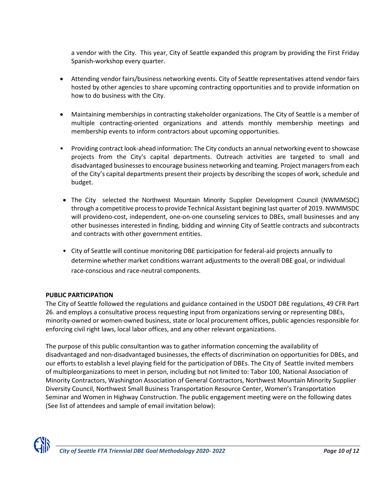a vendor with the City. This year, City of Seattle expanded this program by providing the First Friday Spanish-workshop every quarter.

- Attending vendor fairs/business networking events. City of Seattle representatives attend vendor fairs hosted by other agencies to share upcoming contracting opportunities and to provide information on how to do business with the City.
- Maintaining memberships in contracting stakeholder organizations. The City of Seattle is a member of multiple contracting-oriented organizations and attends monthly membership meetings and membership events to inform contractors about upcoming opportunities.
- Providing contract look-ahead information: The City conducts an annual networking event to showcase projects from the City's capital departments. Outreach activities are targeted to small and disadvantaged businesses to encourage business networking and teaming. Project managers from each of the City's capital departments present their projects by describing the scopes of work, schedule and budget.
- The City selected the Northwest Mountain Minority Supplier Development Council (NWMMSDC) through a competitive process to provide Technical Assistant begining last quarter of 2019. NWMMSDC will provideno-cost, independent, one-on-one counseling services to DBEs, small businesses and any other businesses interested in finding, bidding and winning City of Seattle contracts and subcontracts and contracts with other government entities.
- City of Seattle will continue monitoring DBE participation for federal-aid projects annually to determine whether market conditions warrant adjustments to the overall DBE goal, or individual race-conscious and race-neutral components.

## **PUBLIC PARTICIPATION**

The City of Seattle followed the regulations and guidance contained in the USDOT DBE regulations, 49 CFR Part 26. and employs a consultative process requesting input from organizations serving or representing DBEs, minority-owned or women-owned business, state or local procurement offices, public agencies responsible for enforcing civil right laws, local labor offices, and any other relevant organizations.

The purpose of this public consultantion was to gather information concerning the availability of disadvantaged and non-disadvantaged businesses, the effects of discrimination on opportunities for DBEs, and our efforts to establish a level playing field for the participation of DBEs. The City of Seattle invited members of multipleorganizations to meet in person, including but not limited to: Tabor 100, National Association of Minority Contractors, Washington Association of General Contractors, Northwest Mountain Minority Supplier Diversity Council, Northwest Small Business Transportation Resource Center, Women's Transportation Seminar and Women in Highway Construction. The public engagement meeting were on the following dates (See list of attendees and sample of email invitation below):

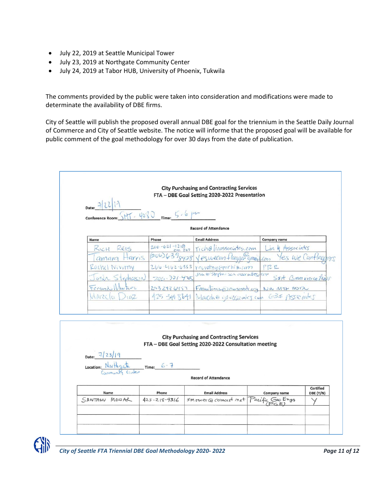- July 22, 2019 at Seattle Municipal Tower
- July 23, 2019 at Northgate Community Center
- July 24, 2019 at Tabor HUB, University of Phoenix, Tukwila

The comments provided by the public were taken into consideration and modifications were made to determinate the availability of DBE firms.

City of Seattle will publish the proposed overall annual DBE goal for the triennium in the Seattle Daily Journal of Commerce and City of Seattle website. The notice will informe that the proposed goal will be available for public comment of the goal methodology for over 30 days from the date of publication.

|                                   |                                | <b>City Purchasing and Contracting Services</b><br>FTA - DBE Goal Setting 2020-2022 Presentation |                                                        |                               |
|-----------------------------------|--------------------------------|--------------------------------------------------------------------------------------------------|--------------------------------------------------------|-------------------------------|
|                                   |                                |                                                                                                  |                                                        |                               |
|                                   | $145.4080$ Time: 5.6 pm        |                                                                                                  |                                                        |                               |
|                                   |                                | <b>Record of Attendance</b>                                                                      |                                                        |                               |
| Name                              | Phone                          | <b>Email Address</b>                                                                             | Company name                                           |                               |
| REIS<br>KICH                      | $206 - 621 - 1218$<br>ext. 227 | riche linassociates.com                                                                          | Lin & Associates                                       |                               |
| amara                             | H <sub>c</sub>                 | (206) 639 gyps Vesweran flagger gmail com                                                        | Yes we Canflage                                        |                               |
| Rachel Neverny                    |                                | $200 - 4162 - 6353$ rowerhy epirbis.com                                                          | $P$ $P$ $R$                                            |                               |
|                                   | 206.321.4205<br>StephersON     | Josh @ Stephenson assembly, com                                                                  | StA Communications                                     |                               |
| FerrandoW                         | wher                           |                                                                                                  | 2532436457 Frantinizementalog Nu MTO MOR               |                               |
| Marcela                           | 102                            |                                                                                                  | 425 344 8641 Marcha @ opensionales can 63\$ Associates |                               |
|                                   |                                |                                                                                                  |                                                        |                               |
|                                   |                                |                                                                                                  |                                                        |                               |
|                                   |                                |                                                                                                  |                                                        |                               |
|                                   |                                | <b>City Purchasing and Contracting Services</b>                                                  |                                                        |                               |
|                                   |                                | FTA - DBE Goal Setting 2020-2022 Consultation meeting                                            |                                                        |                               |
| Date: $7/23/19$                   |                                |                                                                                                  |                                                        |                               |
|                                   |                                |                                                                                                  |                                                        |                               |
| Location: North gate __ Time: 6-7 |                                |                                                                                                  |                                                        |                               |
|                                   |                                | <b>Record of Attendance</b>                                                                      |                                                        |                               |
|                                   |                                |                                                                                                  |                                                        |                               |
| Name<br>SANTANU MOWAR             | Phone<br>$425 - 218 - 9316$    | <b>Email Address</b><br>5 m ower @ comeast met                                                   | Company name<br>Pacific Geo Enge<br>PGE                | <b>Certified</b><br>DBE (Y/N) |